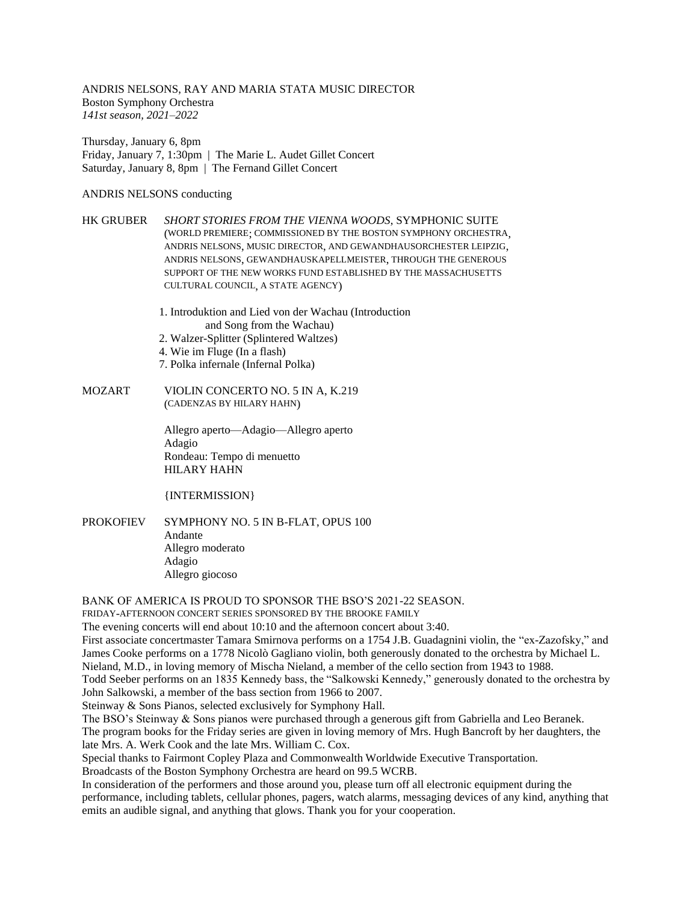ANDRIS NELSONS, RAY AND MARIA STATA MUSIC DIRECTOR Boston Symphony Orchestra *141st season, 2021–2022*

Thursday, January 6, 8pm Friday, January 7, 1:30pm | The Marie L. Audet Gillet Concert Saturday, January 8, 8pm | The Fernand Gillet Concert

## ANDRIS NELSONS conducting

HK GRUBER *SHORT STORIES FROM THE VIENNA WOODS*, SYMPHONIC SUITE (WORLD PREMIERE; COMMISSIONED BY THE BOSTON SYMPHONY ORCHESTRA, ANDRIS NELSONS, MUSIC DIRECTOR, AND GEWANDHAUSORCHESTER LEIPZIG, ANDRIS NELSONS, GEWANDHAUSKAPELLMEISTER, THROUGH THE GENEROUS SUPPORT OF THE NEW WORKS FUND ESTABLISHED BY THE MASSACHUSETTS CULTURAL COUNCIL, A STATE AGENCY)

- 1. Introduktion and Lied von der Wachau (Introduction and Song from the Wachau)
- 2. Walzer-Splitter (Splintered Waltzes)
- 4. Wie im Fluge (In a flash)
- 7. Polka infernale (Infernal Polka)

MOZART VIOLIN CONCERTO NO. 5 IN A, K.219 (CADENZAS BY HILARY HAHN)

> Allegro aperto—Adagio—Allegro aperto Adagio Rondeau: Tempo di menuetto HILARY HAHN

{INTERMISSION}

PROKOFIEV SYMPHONY NO. 5 IN B-FLAT, OPUS 100 Andante Allegro moderato Adagio Allegro giocoso

BANK OF AMERICA IS PROUD TO SPONSOR THE BSO'S 2021-22 SEASON. FRIDAY-AFTERNOON CONCERT SERIES SPONSORED BY THE BROOKE FAMILY

The evening concerts will end about 10:10 and the afternoon concert about 3:40.

First associate concertmaster Tamara Smirnova performs on a 1754 J.B. Guadagnini violin, the "ex-Zazofsky," and James Cooke performs on a 1778 Nicolò Gagliano violin, both generously donated to the orchestra by Michael L. Nieland, M.D., in loving memory of Mischa Nieland, a member of the cello section from 1943 to 1988.

Todd Seeber performs on an 1835 Kennedy bass, the "Salkowski Kennedy," generously donated to the orchestra by John Salkowski, a member of the bass section from 1966 to 2007.

Steinway & Sons Pianos, selected exclusively for Symphony Hall.

The BSO's Steinway & Sons pianos were purchased through a generous gift from Gabriella and Leo Beranek. The program books for the Friday series are given in loving memory of Mrs. Hugh Bancroft by her daughters, the late Mrs. A. Werk Cook and the late Mrs. William C. Cox.

Special thanks to Fairmont Copley Plaza and Commonwealth Worldwide Executive Transportation.

Broadcasts of the Boston Symphony Orchestra are heard on 99.5 WCRB.

In consideration of the performers and those around you, please turn off all electronic equipment during the performance, including tablets, cellular phones, pagers, watch alarms, messaging devices of any kind, anything that emits an audible signal, and anything that glows. Thank you for your cooperation.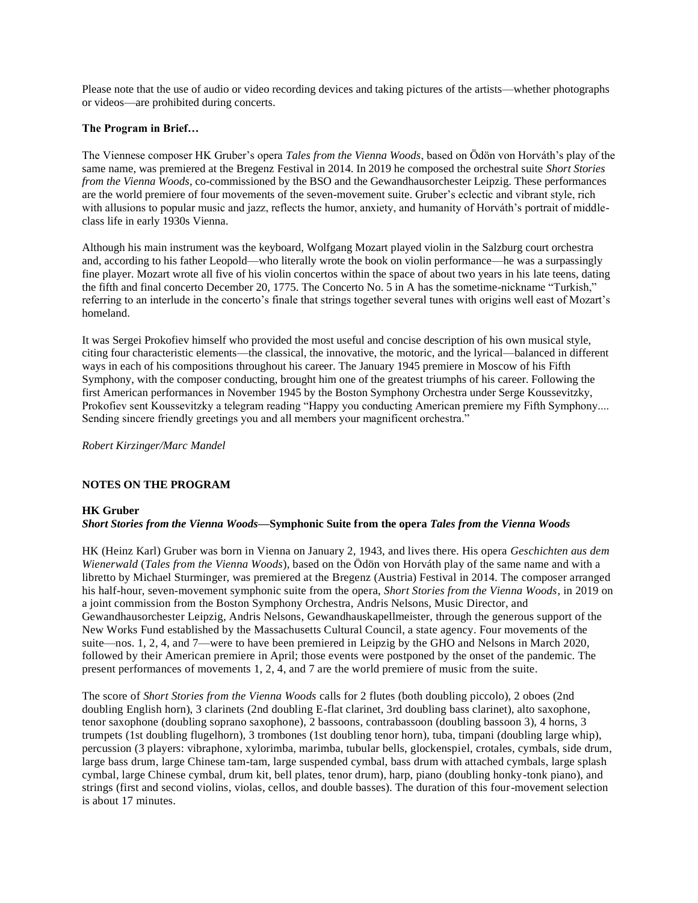Please note that the use of audio or video recording devices and taking pictures of the artists—whether photographs or videos—are prohibited during concerts.

## **The Program in Brief…**

The Viennese composer HK Gruber's opera *Tales from the Vienna Woods*, based on Ödön von Horváth's play of the same name, was premiered at the Bregenz Festival in 2014. In 2019 he composed the orchestral suite *Short Stories from the Vienna Woods*, co-commissioned by the BSO and the Gewandhausorchester Leipzig. These performances are the world premiere of four movements of the seven-movement suite. Gruber's eclectic and vibrant style, rich with allusions to popular music and jazz, reflects the humor, anxiety, and humanity of Horváth's portrait of middleclass life in early 1930s Vienna.

Although his main instrument was the keyboard, Wolfgang Mozart played violin in the Salzburg court orchestra and, according to his father Leopold—who literally wrote the book on violin performance—he was a surpassingly fine player. Mozart wrote all five of his violin concertos within the space of about two years in his late teens, dating the fifth and final concerto December 20, 1775. The Concerto No. 5 in A has the sometime-nickname "Turkish," referring to an interlude in the concerto's finale that strings together several tunes with origins well east of Mozart's homeland.

It was Sergei Prokofiev himself who provided the most useful and concise description of his own musical style, citing four characteristic elements—the classical, the innovative, the motoric, and the lyrical—balanced in different ways in each of his compositions throughout his career. The January 1945 premiere in Moscow of his Fifth Symphony, with the composer conducting, brought him one of the greatest triumphs of his career. Following the first American performances in November 1945 by the Boston Symphony Orchestra under Serge Koussevitzky, Prokofiev sent Koussevitzky a telegram reading "Happy you conducting American premiere my Fifth Symphony.... Sending sincere friendly greetings you and all members your magnificent orchestra."

*Robert Kirzinger/Marc Mandel*

# **NOTES ON THE PROGRAM**

### **HK Gruber**

### *Short Stories from the Vienna Woods***—Symphonic Suite from the opera** *Tales from the Vienna Woods*

HK (Heinz Karl) Gruber was born in Vienna on January 2, 1943, and lives there. His opera *Geschichten aus dem Wienerwald* (*Tales from the Vienna Woods*), based on the Ödön von Horváth play of the same name and with a libretto by Michael Sturminger, was premiered at the Bregenz (Austria) Festival in 2014. The composer arranged his half-hour, seven-movement symphonic suite from the opera, *Short Stories from the Vienna Woods*, in 2019 on a joint commission from the Boston Symphony Orchestra, Andris Nelsons, Music Director, and Gewandhausorchester Leipzig, Andris Nelsons, Gewandhauskapellmeister, through the generous support of the New Works Fund established by the Massachusetts Cultural Council, a state agency. Four movements of the suite—nos. 1, 2, 4, and 7—were to have been premiered in Leipzig by the GHO and Nelsons in March 2020, followed by their American premiere in April; those events were postponed by the onset of the pandemic. The present performances of movements 1, 2, 4, and 7 are the world premiere of music from the suite.

The score of *Short Stories from the Vienna Woods* calls for 2 flutes (both doubling piccolo), 2 oboes (2nd doubling English horn), 3 clarinets (2nd doubling E-flat clarinet, 3rd doubling bass clarinet), alto saxophone, tenor saxophone (doubling soprano saxophone), 2 bassoons, contrabassoon (doubling bassoon 3), 4 horns, 3 trumpets (1st doubling flugelhorn), 3 trombones (1st doubling tenor horn), tuba, timpani (doubling large whip), percussion (3 players: vibraphone, xylorimba, marimba, tubular bells, glockenspiel, crotales, cymbals, side drum, large bass drum, large Chinese tam-tam, large suspended cymbal, bass drum with attached cymbals, large splash cymbal, large Chinese cymbal, drum kit, bell plates, tenor drum), harp, piano (doubling honky-tonk piano), and strings (first and second violins, violas, cellos, and double basses). The duration of this four-movement selection is about 17 minutes.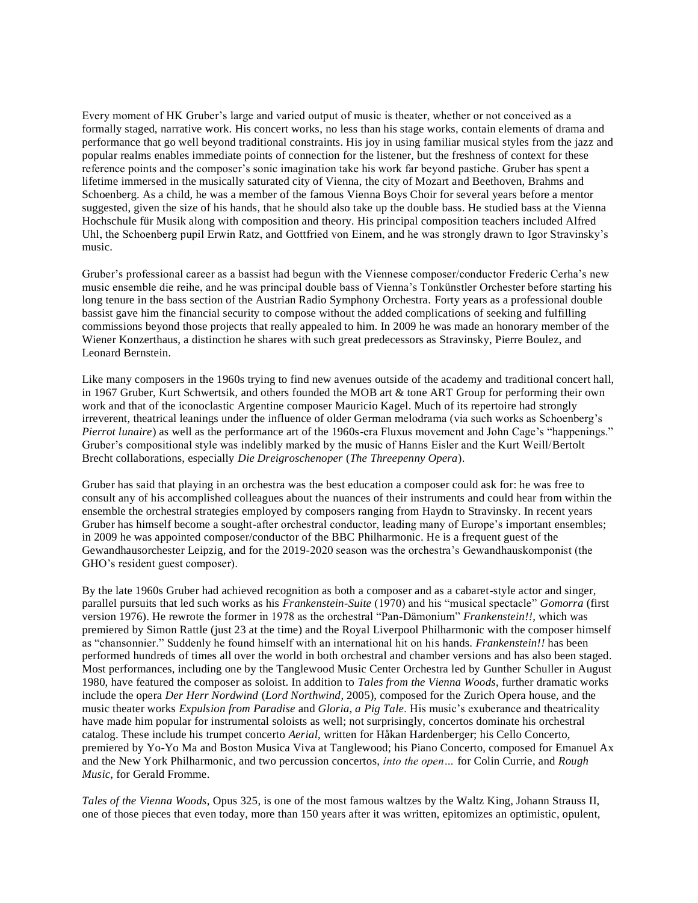Every moment of HK Gruber's large and varied output of music is theater, whether or not conceived as a formally staged, narrative work. His concert works, no less than his stage works, contain elements of drama and performance that go well beyond traditional constraints. His joy in using familiar musical styles from the jazz and popular realms enables immediate points of connection for the listener, but the freshness of context for these reference points and the composer's sonic imagination take his work far beyond pastiche. Gruber has spent a lifetime immersed in the musically saturated city of Vienna, the city of Mozart and Beethoven, Brahms and Schoenberg. As a child, he was a member of the famous Vienna Boys Choir for several years before a mentor suggested, given the size of his hands, that he should also take up the double bass. He studied bass at the Vienna Hochschule für Musik along with composition and theory. His principal composition teachers included Alfred Uhl, the Schoenberg pupil Erwin Ratz, and Gottfried von Einem, and he was strongly drawn to Igor Stravinsky's music.

Gruber's professional career as a bassist had begun with the Viennese composer/conductor Frederic Cerha's new music ensemble die reihe, and he was principal double bass of Vienna's Tonkünstler Orchester before starting his long tenure in the bass section of the Austrian Radio Symphony Orchestra. Forty years as a professional double bassist gave him the financial security to compose without the added complications of seeking and fulfilling commissions beyond those projects that really appealed to him. In 2009 he was made an honorary member of the Wiener Konzerthaus, a distinction he shares with such great predecessors as Stravinsky, Pierre Boulez, and Leonard Bernstein.

Like many composers in the 1960s trying to find new avenues outside of the academy and traditional concert hall, in 1967 Gruber, Kurt Schwertsik, and others founded the MOB art & tone ART Group for performing their own work and that of the iconoclastic Argentine composer Mauricio Kagel. Much of its repertoire had strongly irreverent, theatrical leanings under the influence of older German melodrama (via such works as Schoenberg's *Pierrot lunaire*) as well as the performance art of the 1960s-era Fluxus movement and John Cage's "happenings." Gruber's compositional style was indelibly marked by the music of Hanns Eisler and the Kurt Weill/Bertolt Brecht collaborations, especially *Die Dreigroschenoper* (*The Threepenny Opera*).

Gruber has said that playing in an orchestra was the best education a composer could ask for: he was free to consult any of his accomplished colleagues about the nuances of their instruments and could hear from within the ensemble the orchestral strategies employed by composers ranging from Haydn to Stravinsky. In recent years Gruber has himself become a sought-after orchestral conductor, leading many of Europe's important ensembles; in 2009 he was appointed composer/conductor of the BBC Philharmonic. He is a frequent guest of the Gewandhausorchester Leipzig, and for the 2019-2020 season was the orchestra's Gewandhauskomponist (the GHO's resident guest composer).

By the late 1960s Gruber had achieved recognition as both a composer and as a cabaret-style actor and singer, parallel pursuits that led such works as his *Frankenstein-Suite* (1970) and his "musical spectacle" *Gomorra* (first version 1976). He rewrote the former in 1978 as the orchestral "Pan-Dämonium" *Frankenstein!!*, which was premiered by Simon Rattle (just 23 at the time) and the Royal Liverpool Philharmonic with the composer himself as "chansonnier." Suddenly he found himself with an international hit on his hands. *Frankenstein!!* has been performed hundreds of times all over the world in both orchestral and chamber versions and has also been staged. Most performances, including one by the Tanglewood Music Center Orchestra led by Gunther Schuller in August 1980, have featured the composer as soloist. In addition to *Tales from the Vienna Woods*, further dramatic works include the opera *Der Herr Nordwind* (*Lord Northwind*, 2005), composed for the Zurich Opera house, and the music theater works *Expulsion from Paradise* and *Gloria, a Pig Tale*. His music's exuberance and theatricality have made him popular for instrumental soloists as well; not surprisingly, concertos dominate his orchestral catalog. These include his trumpet concerto *Aerial*, written for Håkan Hardenberger; his Cello Concerto, premiered by Yo-Yo Ma and Boston Musica Viva at Tanglewood; his Piano Concerto, composed for Emanuel Ax and the New York Philharmonic, and two percussion concertos, *into the open…* for Colin Currie, and *Rough Music*, for Gerald Fromme.

*Tales of the Vienna Woods*, Opus 325, is one of the most famous waltzes by the Waltz King, Johann Strauss II, one of those pieces that even today, more than 150 years after it was written, epitomizes an optimistic, opulent,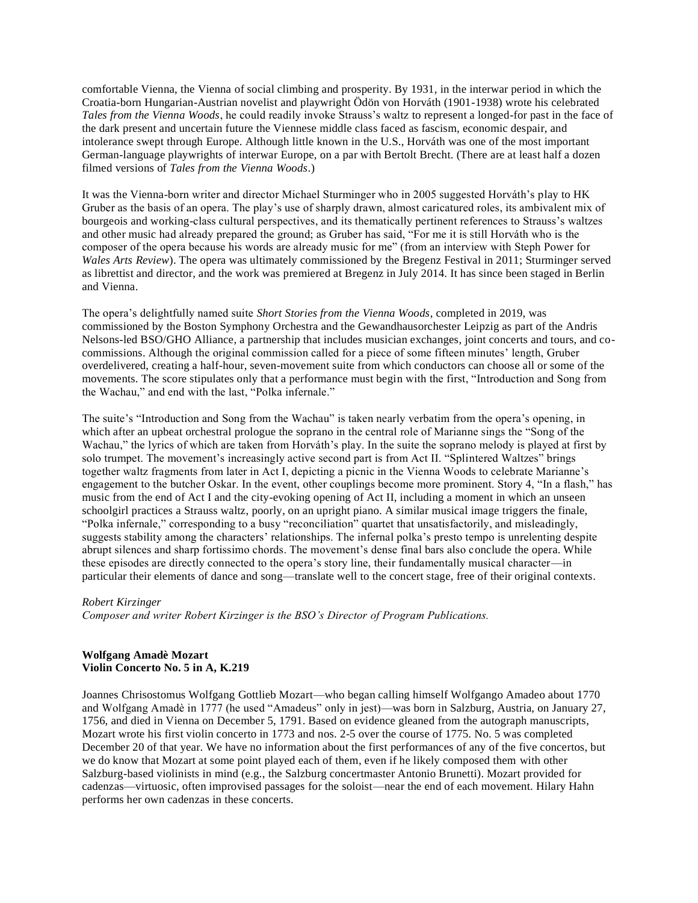comfortable Vienna, the Vienna of social climbing and prosperity. By 1931, in the interwar period in which the Croatia-born Hungarian-Austrian novelist and playwright Ödön von Horváth (1901-1938) wrote his celebrated *Tales from the Vienna Woods*, he could readily invoke Strauss's waltz to represent a longed-for past in the face of the dark present and uncertain future the Viennese middle class faced as fascism, economic despair, and intolerance swept through Europe. Although little known in the U.S., Horváth was one of the most important German-language playwrights of interwar Europe, on a par with Bertolt Brecht. (There are at least half a dozen filmed versions of *Tales from the Vienna Woods*.)

It was the Vienna-born writer and director Michael Sturminger who in 2005 suggested Horváth's play to HK Gruber as the basis of an opera. The play's use of sharply drawn, almost caricatured roles, its ambivalent mix of bourgeois and working-class cultural perspectives, and its thematically pertinent references to Strauss's waltzes and other music had already prepared the ground; as Gruber has said, "For me it is still Horváth who is the composer of the opera because his words are already music for me" (from an interview with Steph Power for *Wales Arts Review*). The opera was ultimately commissioned by the Bregenz Festival in 2011; Sturminger served as librettist and director, and the work was premiered at Bregenz in July 2014. It has since been staged in Berlin and Vienna.

The opera's delightfully named suite *Short Stories from the Vienna Woods*, completed in 2019, was commissioned by the Boston Symphony Orchestra and the Gewandhausorchester Leipzig as part of the Andris Nelsons-led BSO/GHO Alliance, a partnership that includes musician exchanges, joint concerts and tours, and cocommissions. Although the original commission called for a piece of some fifteen minutes' length, Gruber overdelivered, creating a half-hour, seven-movement suite from which conductors can choose all or some of the movements. The score stipulates only that a performance must begin with the first, "Introduction and Song from the Wachau," and end with the last, "Polka infernale."

The suite's "Introduction and Song from the Wachau" is taken nearly verbatim from the opera's opening, in which after an upbeat orchestral prologue the soprano in the central role of Marianne sings the "Song of the Wachau," the lyrics of which are taken from Horváth's play. In the suite the soprano melody is played at first by solo trumpet. The movement's increasingly active second part is from Act II. "Splintered Waltzes" brings together waltz fragments from later in Act I, depicting a picnic in the Vienna Woods to celebrate Marianne's engagement to the butcher Oskar. In the event, other couplings become more prominent. Story 4, "In a flash," has music from the end of Act I and the city-evoking opening of Act II, including a moment in which an unseen schoolgirl practices a Strauss waltz, poorly, on an upright piano. A similar musical image triggers the finale, "Polka infernale," corresponding to a busy "reconciliation" quartet that unsatisfactorily, and misleadingly, suggests stability among the characters' relationships. The infernal polka's presto tempo is unrelenting despite abrupt silences and sharp fortissimo chords. The movement's dense final bars also conclude the opera. While these episodes are directly connected to the opera's story line, their fundamentally musical character—in particular their elements of dance and song—translate well to the concert stage, free of their original contexts.

## *Robert Kirzinger*

*Composer and writer Robert Kirzinger is the BSO's Director of Program Publications.*

### **Wolfgang Amadè Mozart Violin Concerto No. 5 in A, K.219**

Joannes Chrisostomus Wolfgang Gottlieb Mozart—who began calling himself Wolfgango Amadeo about 1770 and Wolfgang Amadè in 1777 (he used "Amadeus" only in jest)—was born in Salzburg, Austria, on January 27, 1756, and died in Vienna on December 5, 1791. Based on evidence gleaned from the autograph manuscripts, Mozart wrote his first violin concerto in 1773 and nos. 2-5 over the course of 1775. No. 5 was completed December 20 of that year. We have no information about the first performances of any of the five concertos, but we do know that Mozart at some point played each of them, even if he likely composed them with other Salzburg-based violinists in mind (e.g., the Salzburg concertmaster Antonio Brunetti). Mozart provided for cadenzas—virtuosic, often improvised passages for the soloist—near the end of each movement. Hilary Hahn performs her own cadenzas in these concerts.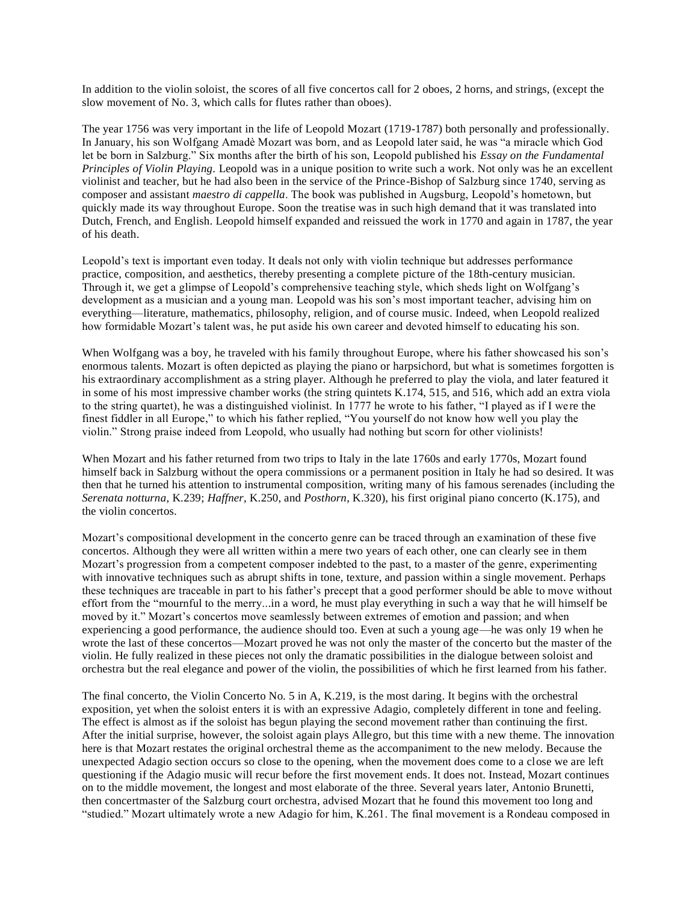In addition to the violin soloist, the scores of all five concertos call for 2 oboes, 2 horns, and strings, (except the slow movement of No. 3, which calls for flutes rather than oboes).

The year 1756 was very important in the life of Leopold Mozart (1719-1787) both personally and professionally. In January, his son Wolfgang Amadè Mozart was born, and as Leopold later said, he was "a miracle which God let be born in Salzburg." Six months after the birth of his son, Leopold published his *Essay on the Fundamental Principles of Violin Playing*. Leopold was in a unique position to write such a work. Not only was he an excellent violinist and teacher, but he had also been in the service of the Prince-Bishop of Salzburg since 1740, serving as composer and assistant *maestro di cappella*. The book was published in Augsburg, Leopold's hometown, but quickly made its way throughout Europe. Soon the treatise was in such high demand that it was translated into Dutch, French, and English. Leopold himself expanded and reissued the work in 1770 and again in 1787, the year of his death.

Leopold's text is important even today. It deals not only with violin technique but addresses performance practice, composition, and aesthetics, thereby presenting a complete picture of the 18th-century musician. Through it, we get a glimpse of Leopold's comprehensive teaching style, which sheds light on Wolfgang's development as a musician and a young man. Leopold was his son's most important teacher, advising him on everything—literature, mathematics, philosophy, religion, and of course music. Indeed, when Leopold realized how formidable Mozart's talent was, he put aside his own career and devoted himself to educating his son.

When Wolfgang was a boy, he traveled with his family throughout Europe, where his father showcased his son's enormous talents. Mozart is often depicted as playing the piano or harpsichord, but what is sometimes forgotten is his extraordinary accomplishment as a string player. Although he preferred to play the viola, and later featured it in some of his most impressive chamber works (the string quintets K.174, 515, and 516, which add an extra viola to the string quartet), he was a distinguished violinist. In 1777 he wrote to his father, "I played as if I were the finest fiddler in all Europe," to which his father replied, "You yourself do not know how well you play the violin." Strong praise indeed from Leopold, who usually had nothing but scorn for other violinists!

When Mozart and his father returned from two trips to Italy in the late 1760s and early 1770s, Mozart found himself back in Salzburg without the opera commissions or a permanent position in Italy he had so desired. It was then that he turned his attention to instrumental composition, writing many of his famous serenades (including the *Serenata notturna*, K.239; *Haffner*, K.250, and *Posthorn*, K.320), his first original piano concerto (K.175), and the violin concertos.

Mozart's compositional development in the concerto genre can be traced through an examination of these five concertos. Although they were all written within a mere two years of each other, one can clearly see in them Mozart's progression from a competent composer indebted to the past, to a master of the genre, experimenting with innovative techniques such as abrupt shifts in tone, texture, and passion within a single movement. Perhaps these techniques are traceable in part to his father's precept that a good performer should be able to move without effort from the "mournful to the merry...in a word, he must play everything in such a way that he will himself be moved by it." Mozart's concertos move seamlessly between extremes of emotion and passion; and when experiencing a good performance, the audience should too. Even at such a young age—he was only 19 when he wrote the last of these concertos—Mozart proved he was not only the master of the concerto but the master of the violin. He fully realized in these pieces not only the dramatic possibilities in the dialogue between soloist and orchestra but the real elegance and power of the violin, the possibilities of which he first learned from his father.

The final concerto, the Violin Concerto No. 5 in A, K.219, is the most daring. It begins with the orchestral exposition, yet when the soloist enters it is with an expressive Adagio, completely different in tone and feeling. The effect is almost as if the soloist has begun playing the second movement rather than continuing the first. After the initial surprise, however, the soloist again plays Allegro, but this time with a new theme. The innovation here is that Mozart restates the original orchestral theme as the accompaniment to the new melody. Because the unexpected Adagio section occurs so close to the opening, when the movement does come to a close we are left questioning if the Adagio music will recur before the first movement ends. It does not. Instead, Mozart continues on to the middle movement, the longest and most elaborate of the three. Several years later, Antonio Brunetti, then concertmaster of the Salzburg court orchestra, advised Mozart that he found this movement too long and "studied." Mozart ultimately wrote a new Adagio for him, K.261. The final movement is a Rondeau composed in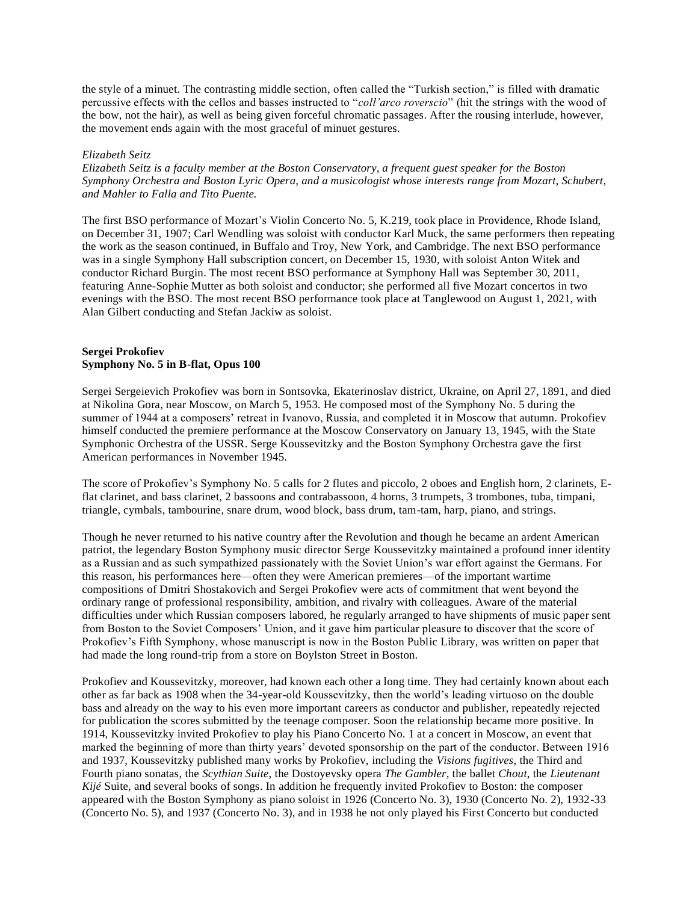the style of a minuet. The contrasting middle section, often called the "Turkish section," is filled with dramatic percussive effects with the cellos and basses instructed to "*coll'arco roverscio*" (hit the strings with the wood of the bow, not the hair), as well as being given forceful chromatic passages. After the rousing interlude, however, the movement ends again with the most graceful of minuet gestures.

### *Elizabeth Seitz*

*Elizabeth Seitz is a faculty member at the Boston Conservatory, a frequent guest speaker for the Boston Symphony Orchestra and Boston Lyric Opera, and a musicologist whose interests range from Mozart, Schubert, and Mahler to Falla and Tito Puente.*

The first BSO performance of Mozart's Violin Concerto No. 5, K.219, took place in Providence, Rhode Island, on December 31, 1907; Carl Wendling was soloist with conductor Karl Muck, the same performers then repeating the work as the season continued, in Buffalo and Troy, New York, and Cambridge. The next BSO performance was in a single Symphony Hall subscription concert, on December 15, 1930, with soloist Anton Witek and conductor Richard Burgin. The most recent BSO performance at Symphony Hall was September 30, 2011, featuring Anne-Sophie Mutter as both soloist and conductor; she performed all five Mozart concertos in two evenings with the BSO. The most recent BSO performance took place at Tanglewood on August 1, 2021, with Alan Gilbert conducting and Stefan Jackiw as soloist.

### **Sergei Prokofiev Symphony No. 5 in B-flat, Opus 100**

Sergei Sergeievich Prokofiev was born in Sontsovka, Ekaterinoslav district, Ukraine, on April 27, 1891, and died at Nikolina Gora, near Moscow, on March 5, 1953. He composed most of the Symphony No. 5 during the summer of 1944 at a composers' retreat in Ivanovo, Russia, and completed it in Moscow that autumn. Prokofiev himself conducted the premiere performance at the Moscow Conservatory on January 13, 1945, with the State Symphonic Orchestra of the USSR. Serge Koussevitzky and the Boston Symphony Orchestra gave the first American performances in November 1945.

The score of Prokofiev's Symphony No. 5 calls for 2 flutes and piccolo, 2 oboes and English horn, 2 clarinets, Eflat clarinet, and bass clarinet, 2 bassoons and contrabassoon, 4 horns, 3 trumpets, 3 trombones, tuba, timpani, triangle, cymbals, tambourine, snare drum, wood block, bass drum, tam-tam, harp, piano, and strings.

Though he never returned to his native country after the Revolution and though he became an ardent American patriot, the legendary Boston Symphony music director Serge Koussevitzky maintained a profound inner identity as a Russian and as such sympathized passionately with the Soviet Union's war effort against the Germans. For this reason, his performances here—often they were American premieres—of the important wartime compositions of Dmitri Shostakovich and Sergei Prokofiev were acts of commitment that went beyond the ordinary range of professional responsibility, ambition, and rivalry with colleagues. Aware of the material difficulties under which Russian composers labored, he regularly arranged to have shipments of music paper sent from Boston to the Soviet Composers' Union, and it gave him particular pleasure to discover that the score of Prokofiev's Fifth Symphony, whose manuscript is now in the Boston Public Library, was written on paper that had made the long round-trip from a store on Boylston Street in Boston.

Prokofiev and Koussevitzky, moreover, had known each other a long time. They had certainly known about each other as far back as 1908 when the 34-year-old Koussevitzky, then the world's leading virtuoso on the double bass and already on the way to his even more important careers as conductor and publisher, repeatedly rejected for publication the scores submitted by the teenage composer. Soon the relationship became more positive. In 1914, Koussevitzky invited Prokofiev to play his Piano Concerto No. 1 at a concert in Moscow, an event that marked the beginning of more than thirty years' devoted sponsorship on the part of the conductor. Between 1916 and 1937, Koussevitzky published many works by Prokofiev, including the *Visions fugitives*, the Third and Fourth piano sonatas, the *Scythian Suite*, the Dostoyevsky opera *The Gambler*, the ballet *Chout*, the *Lieutenant Kijé* Suite, and several books of songs. In addition he frequently invited Prokofiev to Boston: the composer appeared with the Boston Symphony as piano soloist in 1926 (Concerto No. 3), 1930 (Concerto No. 2), 1932-33 (Concerto No. 5), and 1937 (Concerto No. 3), and in 1938 he not only played his First Concerto but conducted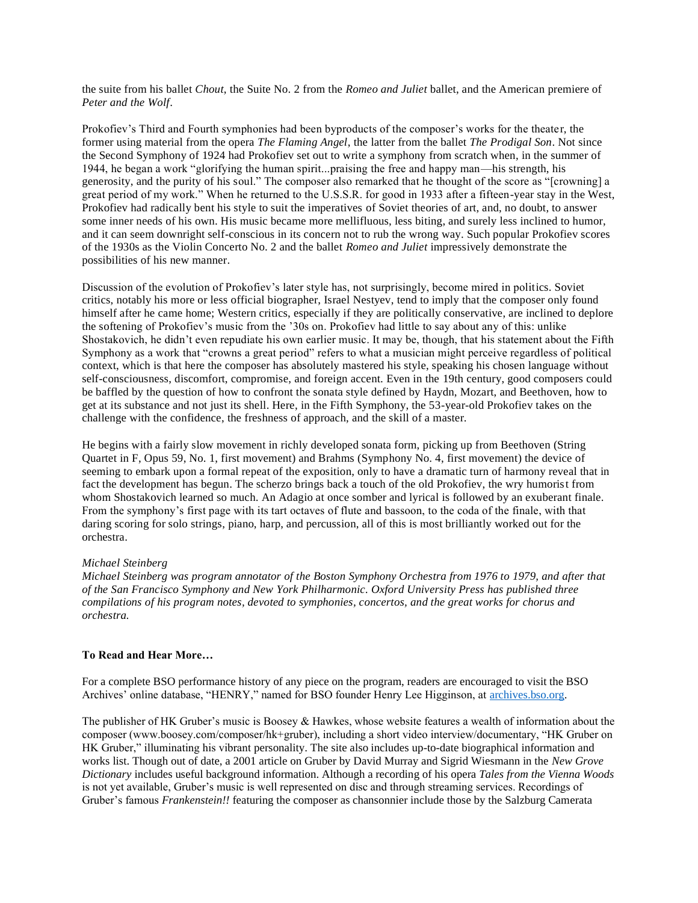the suite from his ballet *Chout*, the Suite No. 2 from the *Romeo and Juliet* ballet, and the American premiere of *Peter and the Wolf*.

Prokofiev's Third and Fourth symphonies had been byproducts of the composer's works for the theater, the former using material from the opera *The Flaming Angel*, the latter from the ballet *The Prodigal Son*. Not since the Second Symphony of 1924 had Prokofiev set out to write a symphony from scratch when, in the summer of 1944, he began a work "glorifying the human spirit...praising the free and happy man—his strength, his generosity, and the purity of his soul." The composer also remarked that he thought of the score as "[crowning] a great period of my work." When he returned to the U.S.S.R. for good in 1933 after a fifteen-year stay in the West, Prokofiev had radically bent his style to suit the imperatives of Soviet theories of art, and, no doubt, to answer some inner needs of his own. His music became more mellifluous, less biting, and surely less inclined to humor, and it can seem downright self-conscious in its concern not to rub the wrong way. Such popular Prokofiev scores of the 1930s as the Violin Concerto No. 2 and the ballet *Romeo and Juliet* impressively demonstrate the possibilities of his new manner.

Discussion of the evolution of Prokofiev's later style has, not surprisingly, become mired in politics. Soviet critics, notably his more or less official biographer, Israel Nestyev, tend to imply that the composer only found himself after he came home; Western critics, especially if they are politically conservative, are inclined to deplore the softening of Prokofiev's music from the '30s on. Prokofiev had little to say about any of this: unlike Shostakovich, he didn't even repudiate his own earlier music. It may be, though, that his statement about the Fifth Symphony as a work that "crowns a great period" refers to what a musician might perceive regardless of political context, which is that here the composer has absolutely mastered his style, speaking his chosen language without self-consciousness, discomfort, compromise, and foreign accent. Even in the 19th century, good composers could be baffled by the question of how to confront the sonata style defined by Haydn, Mozart, and Beethoven, how to get at its substance and not just its shell. Here, in the Fifth Symphony, the 53-year-old Prokofiev takes on the challenge with the confidence, the freshness of approach, and the skill of a master.

He begins with a fairly slow movement in richly developed sonata form, picking up from Beethoven (String Quartet in F, Opus 59, No. 1, first movement) and Brahms (Symphony No. 4, first movement) the device of seeming to embark upon a formal repeat of the exposition, only to have a dramatic turn of harmony reveal that in fact the development has begun. The scherzo brings back a touch of the old Prokofiev, the wry humorist from whom Shostakovich learned so much. An Adagio at once somber and lyrical is followed by an exuberant finale. From the symphony's first page with its tart octaves of flute and bassoon, to the coda of the finale, with that daring scoring for solo strings, piano, harp, and percussion, all of this is most brilliantly worked out for the orchestra.

## *Michael Steinberg*

*Michael Steinberg was program annotator of the Boston Symphony Orchestra from 1976 to 1979, and after that of the San Francisco Symphony and New York Philharmonic. Oxford University Press has published three compilations of his program notes, devoted to symphonies, concertos, and the great works for chorus and orchestra.*

## **To Read and Hear More…**

For a complete BSO performance history of any piece on the program, readers are encouraged to visit the BSO Archives' online database, "HENRY," named for BSO founder Henry Lee Higginson, at [archives.bso.org.](http://archives.bso.org/)

The publisher of HK Gruber's music is Boosey & Hawkes, whose website features a wealth of information about the composer (www.boosey.com/composer/hk+gruber), including a short video interview/documentary, "HK Gruber on HK Gruber," illuminating his vibrant personality. The site also includes up-to-date biographical information and works list. Though out of date, a 2001 article on Gruber by David Murray and Sigrid Wiesmann in the *New Grove Dictionary* includes useful background information. Although a recording of his opera *Tales from the Vienna Woods* is not yet available, Gruber's music is well represented on disc and through streaming services. Recordings of Gruber's famous *Frankenstein!!* featuring the composer as chansonnier include those by the Salzburg Camerata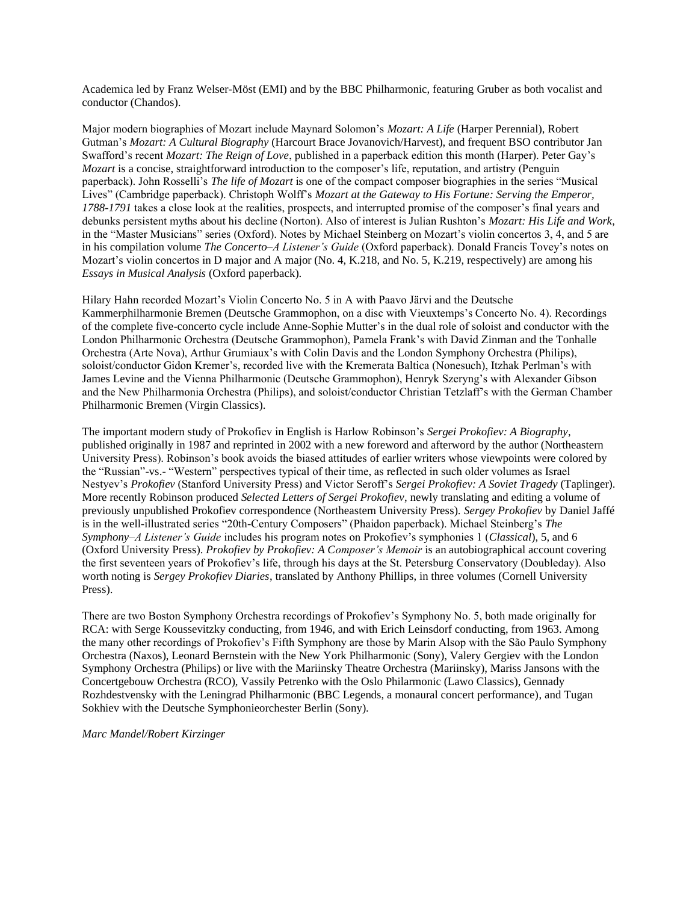Academica led by Franz Welser-Möst (EMI) and by the BBC Philharmonic, featuring Gruber as both vocalist and conductor (Chandos).

Major modern biographies of Mozart include Maynard Solomon's *Mozart: A Life* (Harper Perennial), Robert Gutman's *Mozart: A Cultural Biography* (Harcourt Brace Jovanovich/Harvest), and frequent BSO contributor Jan Swafford's recent *Mozart: The Reign of Love*, published in a paperback edition this month (Harper). Peter Gay's *Mozart* is a concise, straightforward introduction to the composer's life, reputation, and artistry (Penguin paperback). John Rosselli's *The life of Mozart* is one of the compact composer biographies in the series "Musical Lives" (Cambridge paperback). Christoph Wolff's *Mozart at the Gateway to His Fortune: Serving the Emperor, 1788-1791* takes a close look at the realities, prospects, and interrupted promise of the composer's final years and debunks persistent myths about his decline (Norton). Also of interest is Julian Rushton's *Mozart: His Life and Work*, in the "Master Musicians" series (Oxford). Notes by Michael Steinberg on Mozart's violin concertos 3, 4, and 5 are in his compilation volume *The Concerto–A Listener's Guide* (Oxford paperback). Donald Francis Tovey's notes on Mozart's violin concertos in D major and A major (No. 4, K.218, and No. 5, K.219, respectively) are among his *Essays in Musical Analysis* (Oxford paperback).

Hilary Hahn recorded Mozart's Violin Concerto No. 5 in A with Paavo Järvi and the Deutsche Kammerphilharmonie Bremen (Deutsche Grammophon, on a disc with Vieuxtemps's Concerto No. 4). Recordings of the complete five-concerto cycle include Anne-Sophie Mutter's in the dual role of soloist and conductor with the London Philharmonic Orchestra (Deutsche Grammophon), Pamela Frank's with David Zinman and the Tonhalle Orchestra (Arte Nova), Arthur Grumiaux's with Colin Davis and the London Symphony Orchestra (Philips), soloist/conductor Gidon Kremer's, recorded live with the Kremerata Baltica (Nonesuch), Itzhak Perlman's with James Levine and the Vienna Philharmonic (Deutsche Grammophon), Henryk Szeryng's with Alexander Gibson and the New Philharmonia Orchestra (Philips), and soloist/conductor Christian Tetzlaff's with the German Chamber Philharmonic Bremen (Virgin Classics).

The important modern study of Prokofiev in English is Harlow Robinson's *Sergei Prokofiev: A Biography*, published originally in 1987 and reprinted in 2002 with a new foreword and afterword by the author (Northeastern University Press). Robinson's book avoids the biased attitudes of earlier writers whose viewpoints were colored by the "Russian"-vs.- "Western" perspectives typical of their time, as reflected in such older volumes as Israel Nestyev's *Prokofiev* (Stanford University Press) and Victor Seroff's *Sergei Prokofiev: A Soviet Tragedy* (Taplinger). More recently Robinson produced *Selected Letters of Sergei Prokofiev*, newly translating and editing a volume of previously unpublished Prokofiev correspondence (Northeastern University Press). *Sergey Prokofiev* by Daniel Jaffé is in the well-illustrated series "20th-Century Composers" (Phaidon paperback). Michael Steinberg's *The Symphony–A Listener's Guide* includes his program notes on Prokofiev's symphonies 1 (*Classical*), 5, and 6 (Oxford University Press). *Prokofiev by Prokofiev: A Composer's Memoir* is an autobiographical account covering the first seventeen years of Prokofiev's life, through his days at the St. Petersburg Conservatory (Doubleday). Also worth noting is *Sergey Prokofiev Diaries*, translated by Anthony Phillips, in three volumes (Cornell University Press).

There are two Boston Symphony Orchestra recordings of Prokofiev's Symphony No. 5, both made originally for RCA: with Serge Koussevitzky conducting, from 1946, and with Erich Leinsdorf conducting, from 1963. Among the many other recordings of Prokofiev's Fifth Symphony are those by Marin Alsop with the São Paulo Symphony Orchestra (Naxos), Leonard Bernstein with the New York Philharmonic (Sony), Valery Gergiev with the London Symphony Orchestra (Philips) or live with the Mariinsky Theatre Orchestra (Mariinsky), Mariss Jansons with the Concertgebouw Orchestra (RCO), Vassily Petrenko with the Oslo Philarmonic (Lawo Classics), Gennady Rozhdestvensky with the Leningrad Philharmonic (BBC Legends, a monaural concert performance), and Tugan Sokhiev with the Deutsche Symphonieorchester Berlin (Sony).

*Marc Mandel/Robert Kirzinger*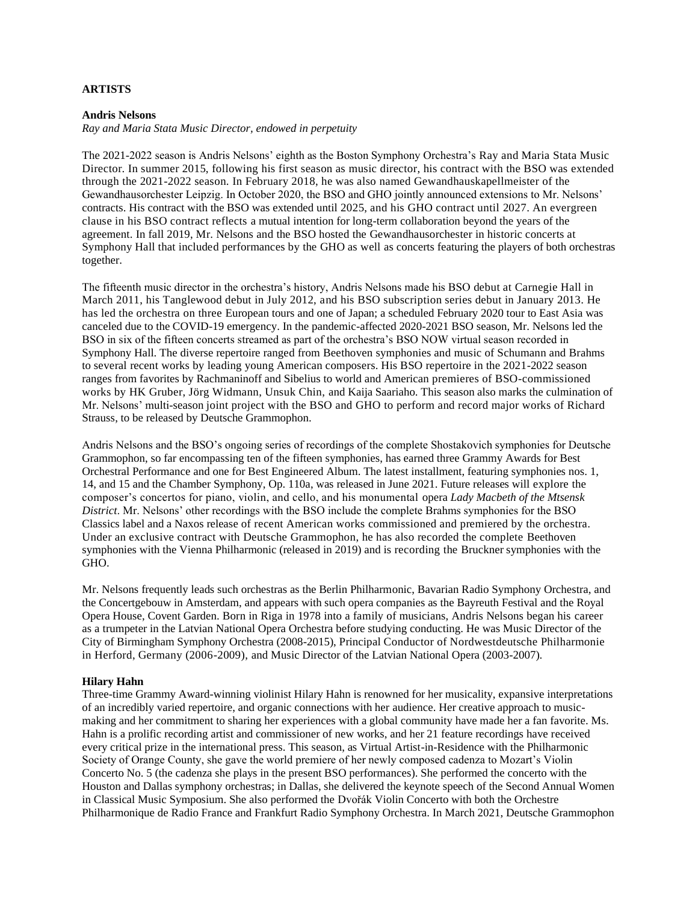### **ARTISTS**

#### **Andris Nelsons**

*Ray and Maria Stata Music Director, endowed in perpetuity*

The 2021-2022 season is Andris Nelsons' eighth as the Boston Symphony Orchestra's Ray and Maria Stata Music Director. In summer 2015, following his first season as music director, his contract with the BSO was extended through the 2021-2022 season. In February 2018, he was also named Gewandhauskapellmeister of the Gewandhausorchester Leipzig. In October 2020, the BSO and GHO jointly announced extensions to Mr. Nelsons' contracts. His contract with the BSO was extended until 2025, and his GHO contract until 2027. An evergreen clause in his BSO contract reflects a mutual intention for long-term collaboration beyond the years of the agreement. In fall 2019, Mr. Nelsons and the BSO hosted the Gewandhausorchester in historic concerts at Symphony Hall that included performances by the GHO as well as concerts featuring the players of both orchestras together.

The fifteenth music director in the orchestra's history, Andris Nelsons made his BSO debut at Carnegie Hall in March 2011, his Tanglewood debut in July 2012, and his BSO subscription series debut in January 2013. He has led the orchestra on three European tours and one of Japan; a scheduled February 2020 tour to East Asia was canceled due to the COVID-19 emergency. In the pandemic-affected 2020-2021 BSO season, Mr. Nelsons led the BSO in six of the fifteen concerts streamed as part of the orchestra's BSO NOW virtual season recorded in Symphony Hall. The diverse repertoire ranged from Beethoven symphonies and music of Schumann and Brahms to several recent works by leading young American composers. His BSO repertoire in the 2021-2022 season ranges from favorites by Rachmaninoff and Sibelius to world and American premieres of BSO-commissioned works by HK Gruber, Jörg Widmann, Unsuk Chin, and Kaija Saariaho. This season also marks the culmination of Mr. Nelsons' multi-season joint project with the BSO and GHO to perform and record major works of Richard Strauss, to be released by Deutsche Grammophon.

Andris Nelsons and the BSO's ongoing series of recordings of the complete Shostakovich symphonies for Deutsche Grammophon, so far encompassing ten of the fifteen symphonies, has earned three Grammy Awards for Best Orchestral Performance and one for Best Engineered Album. The latest installment, featuring symphonies nos. 1, 14, and 15 and the Chamber Symphony, Op. 110a, was released in June 2021. Future releases will explore the composer's concertos for piano, violin, and cello, and his monumental opera *Lady Macbeth of the Mtsensk District*. Mr. Nelsons' other recordings with the BSO include the complete Brahms symphonies for the BSO Classics label and a Naxos release of recent American works commissioned and premiered by the orchestra. Under an exclusive contract with Deutsche Grammophon, he has also recorded the complete Beethoven symphonies with the Vienna Philharmonic (released in 2019) and is recording the Bruckner symphonies with the GHO.

Mr. Nelsons frequently leads such orchestras as the Berlin Philharmonic, Bavarian Radio Symphony Orchestra, and the Concertgebouw in Amsterdam, and appears with such opera companies as the Bayreuth Festival and the Royal Opera House, Covent Garden. Born in Riga in 1978 into a family of musicians, Andris Nelsons began his career as a trumpeter in the Latvian National Opera Orchestra before studying conducting. He was Music Director of the City of Birmingham Symphony Orchestra (2008-2015), Principal Conductor of Nordwestdeutsche Philharmonie in Herford, Germany (2006-2009), and Music Director of the Latvian National Opera (2003-2007).

### **Hilary Hahn**

Three-time Grammy Award-winning violinist Hilary Hahn is renowned for her musicality, expansive interpretations of an incredibly varied repertoire, and organic connections with her audience. Her creative approach to musicmaking and her commitment to sharing her experiences with a global community have made her a fan favorite. Ms. Hahn is a prolific recording artist and commissioner of new works, and her 21 feature recordings have received every critical prize in the international press. This season, as Virtual Artist-in-Residence with the Philharmonic Society of Orange County, she gave the world premiere of her newly composed cadenza to Mozart's Violin Concerto No. 5 (the cadenza she plays in the present BSO performances). She performed the concerto with the Houston and Dallas symphony orchestras; in Dallas, she delivered the keynote speech of the Second Annual Women in Classical Music Symposium. She also performed the Dvořák Violin Concerto with both the Orchestre Philharmonique de Radio France and Frankfurt Radio Symphony Orchestra. In March 2021, Deutsche Grammophon